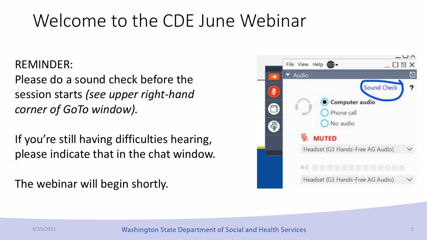# Welcome to the CDE June Webinar

### REMINDER:

Please do a sound check before the session starts *(see upper right-hand corner of GoTo window).*

If you're still having difficulties hearing, please indicate that in the chat window.

The webinar will begin shortly.

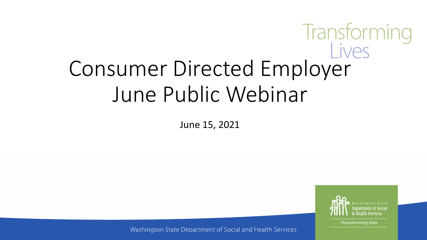# Transforming<br>Consumer Directed Employer June Public Webinar

June 15, 2021



**Transforming lives** 

Washington State Department of Social and Health Services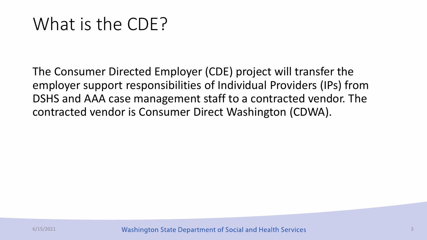# What is the CDE?

The Consumer Directed Employer (CDE) project will transfer the employer support responsibilities of Individual Providers (IPs) from DSHS and AAA case management staff to a contracted vendor. The contracted vendor is Consumer Direct Washington (CDWA).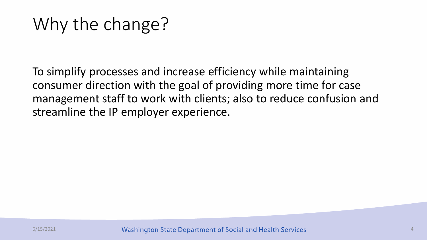# Why the change?

To simplify processes and increase efficiency while maintaining consumer direction with the goal of providing more time for case management staff to work with clients; also to reduce confusion and streamline the IP employer experience.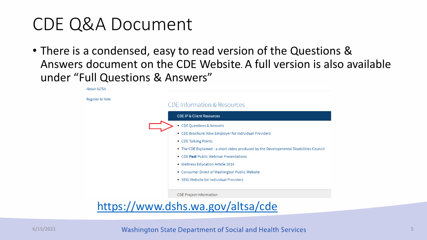## CDE Q&A Document

• There is a condensed, easy to read version of the Questions & Answers document on the CDE Website. A full version is also available under "Full Questions & Answers"



<https://www.dshs.wa.gov/altsa/cde>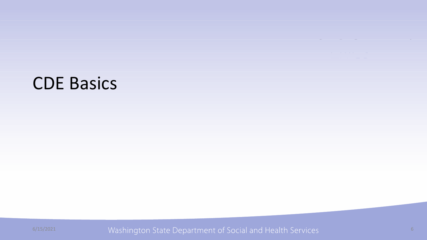### CDE Basics

6/15/2021 Washington State Department of Social and Health Services and Mashington 6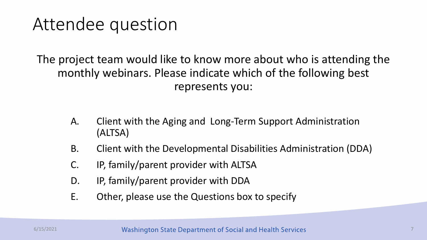## Attendee question

The project team would like to know more about who is attending the monthly webinars. Please indicate which of the following best represents you:

- A. Client with the Aging and Long-Term Support Administration (ALTSA)
- B. Client with the Developmental Disabilities Administration (DDA)
- C. IP, family/parent provider with ALTSA
- D. IP, family/parent provider with DDA
- E. Other, please use the Questions box to specify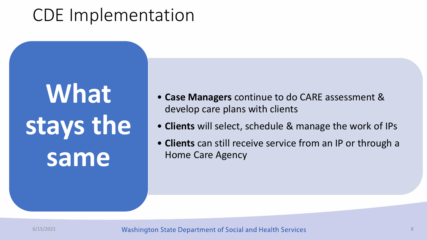# **What stays the same**

- **Case Managers** continue to do CARE assessment & develop care plans with clients
- **Clients** will select, schedule & manage the work of IPs
- **Clients** can still receive service from an IP or through a Home Care Agency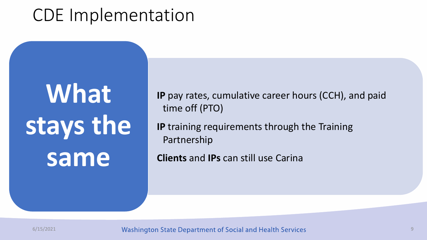# **What stays the same**

**IP** pay rates, cumulative career hours (CCH), and paid time off (PTO)

**IP** training requirements through the Training Partnership

**Clients** and **IPs** can still use Carina

6/15/2021 **Mashington State Department of Social and Health Services 1986 1997 1998 1998 1998 1998 1998 1998 19**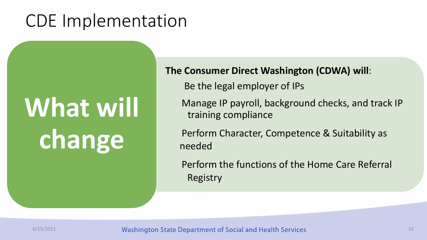# **What will change**

**The Consumer Direct Washington (CDWA) will**:

Be the legal employer of IPs

Manage IP payroll, background checks, and track IP training compliance

Perform Character, Competence & Suitability as needed

Perform the functions of the Home Care Referral Registry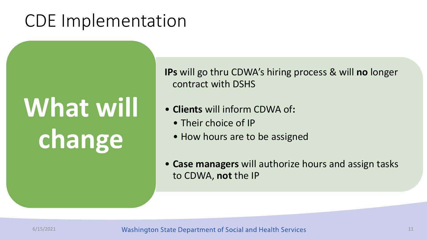# **What will change**

**IPs** will go thru CDWA's hiring process & will **no** longer contract with DSHS

- **Clients** will inform CDWA of**:**
	- Their choice of IP
	- How hours are to be assigned
- **Case managers** will authorize hours and assign tasks to CDWA, **not** the IP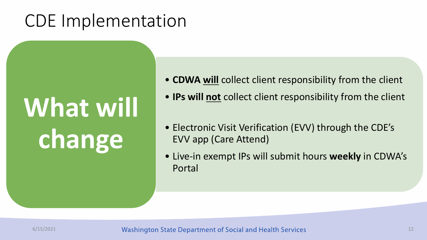# **What will change**

- **CDWA will** collect client responsibility from the client
- **IPs will not** collect client responsibility from the client
- Electronic Visit Verification (EVV) through the CDE's EVV app (Care Attend)
- Live-in exempt IPs will submit hours **weekly** in CDWA's Portal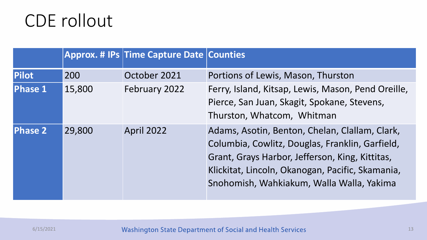# CDE rollout

|                |        | Approx. # IPs Time Capture Date Counties |                                                                                                                                                                                                                                                       |
|----------------|--------|------------------------------------------|-------------------------------------------------------------------------------------------------------------------------------------------------------------------------------------------------------------------------------------------------------|
| <b>Pilot</b>   | 200    | October 2021                             | Portions of Lewis, Mason, Thurston                                                                                                                                                                                                                    |
| <b>Phase 1</b> | 15,800 | February 2022                            | Ferry, Island, Kitsap, Lewis, Mason, Pend Oreille,<br>Pierce, San Juan, Skagit, Spokane, Stevens,<br>Thurston, Whatcom, Whitman                                                                                                                       |
| <b>Phase 2</b> | 29,800 | <b>April 2022</b>                        | Adams, Asotin, Benton, Chelan, Clallam, Clark,<br>Columbia, Cowlitz, Douglas, Franklin, Garfield,<br>Grant, Grays Harbor, Jefferson, King, Kittitas,<br>Klickitat, Lincoln, Okanogan, Pacific, Skamania,<br>Snohomish, Wahkiakum, Walla Walla, Yakima |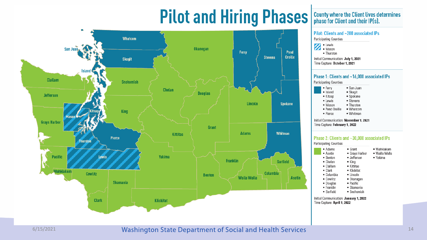# **Pilot and Hiring Phases**



County where the Client lives determines<br>phase for Client and their IP(s).

Pilot: Clients and ~200 associated IPs Participating Counties **A** · Lewis • Thurston Initial Communication: July 1, 2021 Time Capture: October 1, 2021 Phase 1: Clients and ~16,000 associated IPs Participating Counties

| Communication: <b>November 1-20</b> |            |
|-------------------------------------|------------|
| • Pierce                            | • Whitman  |
| • Pend Oreille                      | • Whatcom  |
| • Mason                             | • Thurston |
| • Lewis                             | · Stevens  |
| • Kitsap                            | • Spokane  |
| • Island                            | • Skagit   |
| • Ferry                             | • San Juan |

Initial er 1, 2021 Time Capture: February 1, 2022

#### Phase 2: Clients and ~30,000 associated IPs Participating Counties

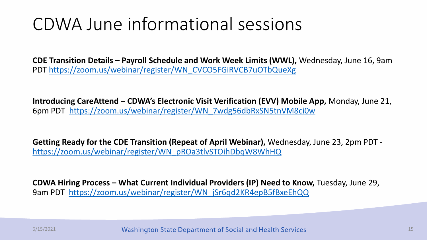## CDWA June informational sessions

**CDE Transition Details – Payroll Schedule and Work Week Limits (WWL),** Wednesday, June 16, 9am PDT [https://zoom.us/webinar/register/WN\\_CVCO5FGiRVCB7uOTbQueXg](https://zoom.us/webinar/register/WN_CVCO5FGiRVCB7uOTbQueXg)

**Introducing CareAttend – CDWA's Electronic Visit Verification (EVV) Mobile App,** Monday, June 21, 6pm PDT [https://zoom.us/webinar/register/WN\\_7wdg56dbRxSN5tnVM8ci0w](https://zoom.us/webinar/register/WN_7wdg56dbRxSN5tnVM8ci0w)

**Getting Ready for the CDE Transition (Repeat of April Webinar),** Wednesday, June 23, 2pm PDT [https://zoom.us/webinar/register/WN\\_pROa3tlvSTOihDbqW8WhHQ](https://zoom.us/webinar/register/WN_pROa3tlvSTOihDbqW8WhHQ)

**CDWA Hiring Process – What Current Individual Providers (IP) Need to Know,** Tuesday, June 29, 9am PDT [https://zoom.us/webinar/register/WN\\_jSr6qd2KR4epB5fBxeEhQQ](https://zoom.us/webinar/register/WN_jSr6qd2KR4epB5fBxeEhQQ)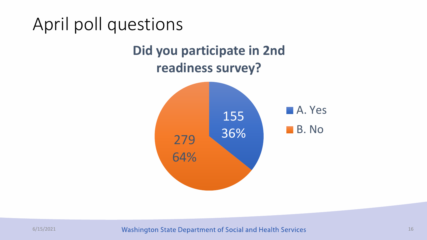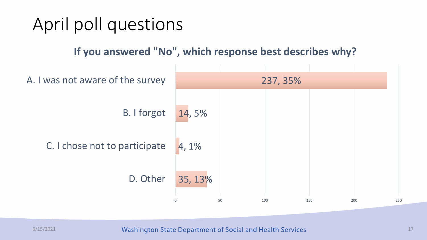

6/15/2021 **17** Washington State Department of Social and Health Services **17** 17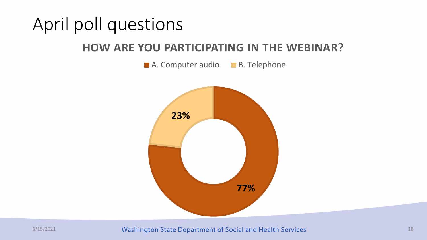# April poll questions

### **HOW ARE YOU PARTICIPATING IN THE WEBINAR?**

A. Computer audio B. Telephone



6/15/2021 **18** Washington State Department of Social and Health Services **18** 18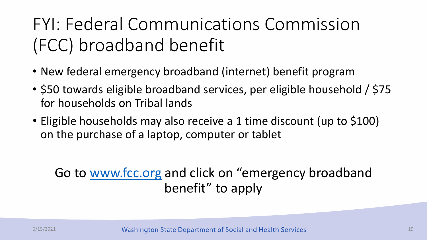# FYI: Federal Communications Commission (FCC) broadband benefit

- New federal emergency broadband (internet) benefit program
- \$50 towards eligible broadband services, per eligible household / \$75 for households on Tribal lands
- Eligible households may also receive a 1 time discount (up to \$100) on the purchase of a laptop, computer or tablet

### Go to [www.fcc.org](http://www.fcc.org/) and click on "emergency broadband benefit" to apply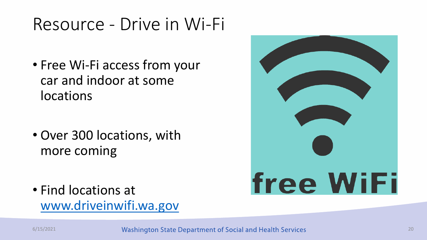# Resource - Drive in Wi-Fi

• Free Wi-Fi access from your car and indoor at some locations

• Over 300 locations, with more coming

• Find locations at [www.driveinwifi.wa.gov](http://www.driveinwifi.wa.gov/)

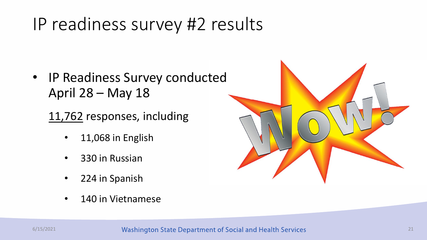# IP readiness survey #2 results

• IP Readiness Survey conducted April 28 – May 18

11,762 responses, including

- 11,068 in English
- 330 in Russian
- 224 in Spanish
- 140 in Vietnamese

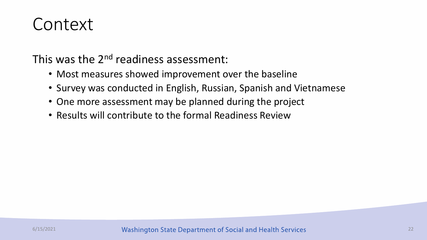### Context

This was the 2<sup>nd</sup> readiness assessment:

- Most measures showed improvement over the baseline
- Survey was conducted in English, Russian, Spanish and Vietnamese
- One more assessment may be planned during the project
- Results will contribute to the formal Readiness Review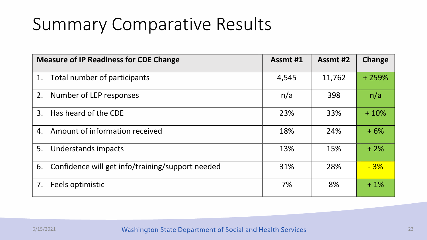# Summary Comparative Results

|    | <b>Measure of IP Readiness for CDE Change</b>    | Assmt #1 | Assmt #2 | <b>Change</b> |
|----|--------------------------------------------------|----------|----------|---------------|
| 1. | Total number of participants                     | 4,545    | 11,762   | $+259%$       |
| 2. | Number of LEP responses                          | n/a      | 398      | n/a           |
| 3. | Has heard of the CDE                             | 23%      | 33%      | $+10%$        |
| 4. | Amount of information received                   | 18%      | 24%      | $+6%$         |
| 5. | Understands impacts                              | 13%      | 15%      | $+2\%$        |
| 6. | Confidence will get info/training/support needed | 31%      | 28%      | $-3%$         |
| 7. | Feels optimistic                                 | 7%       | 8%       | $+1\%$        |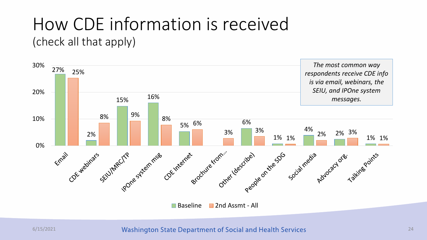# How CDE information is received

(check all that apply)



#### 6/15/2021 **24** Washington State Department of Social and Health Services 24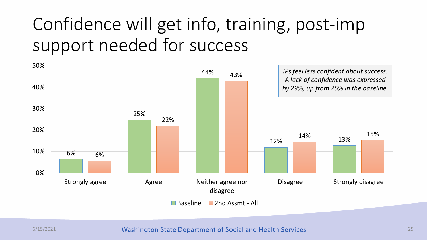# Confidence will get info, training, post-imp support needed for success



6/15/2021 **25** Washington State Department of Social and Health Services 25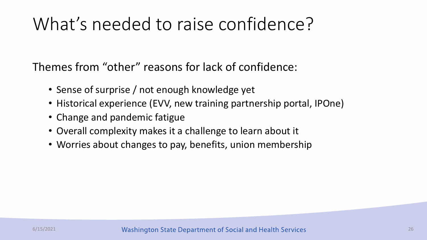# What's needed to raise confidence?

Themes from "other" reasons for lack of confidence:

- Sense of surprise / not enough knowledge yet
- Historical experience (EVV, new training partnership portal, IPOne)
- Change and pandemic fatigue
- Overall complexity makes it a challenge to learn about it
- Worries about changes to pay, benefits, union membership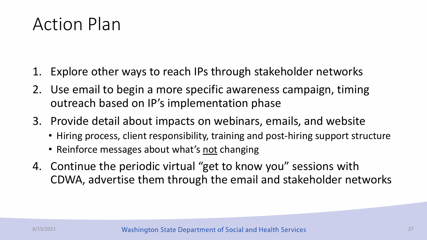### Action Plan

- 1. Explore other ways to reach IPs through stakeholder networks
- 2. Use email to begin a more specific awareness campaign, timing outreach based on IP's implementation phase
- 3. Provide detail about impacts on webinars, emails, and website
	- Hiring process, client responsibility, training and post-hiring support structure
	- Reinforce messages about what's not changing
- 4. Continue the periodic virtual "get to know you" sessions with CDWA, advertise them through the email and stakeholder networks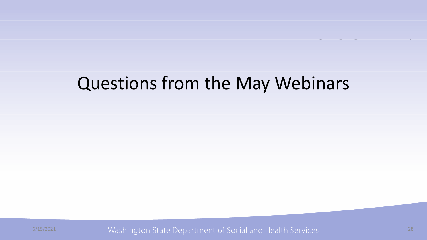### Questions from the May Webinars

6/15/2021 Washington State Department of Social and Health Services 28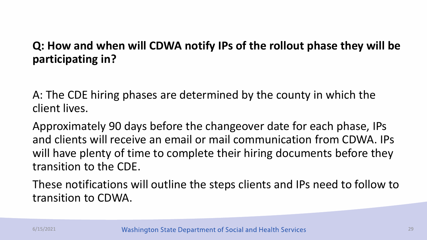### **Q: How and when will CDWA notify IPs of the rollout phase they will be participating in?**

A: The CDE hiring phases are determined by the county in which the client lives.

Approximately 90 days before the changeover date for each phase, IPs and clients will receive an email or mail communication from CDWA. IPs will have plenty of time to complete their hiring documents before they transition to the CDE.

These notifications will outline the steps clients and IPs need to follow to transition to CDWA.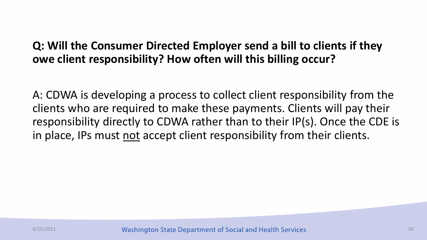### **Q: Will the Consumer Directed Employer send a bill to clients if they owe client responsibility? How often will this billing occur?**

A: CDWA is developing a process to collect client responsibility from the clients who are required to make these payments. Clients will pay their responsibility directly to CDWA rather than to their IP(s). Once the CDE is in place, IPs must not accept client responsibility from their clients.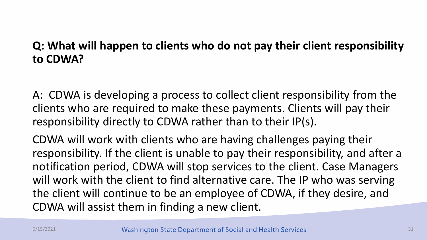### **Q: What will happen to clients who do not pay their client responsibility to CDWA?**

A: CDWA is developing a process to collect client responsibility from the clients who are required to make these payments. Clients will pay their responsibility directly to CDWA rather than to their IP(s).

CDWA will work with clients who are having challenges paying their responsibility. If the client is unable to pay their responsibility, and after a notification period, CDWA will stop services to the client. Case Managers will work with the client to find alternative care. The IP who was serving the client will continue to be an employee of CDWA, if they desire, and CDWA will assist them in finding a new client.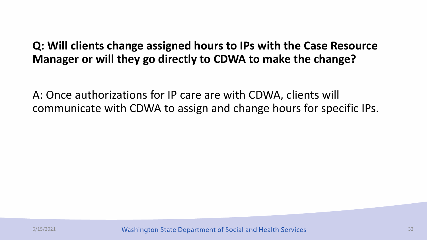### **Q: Will clients change assigned hours to IPs with the Case Resource Manager or will they go directly to CDWA to make the change?**

A: Once authorizations for IP care are with CDWA, clients will communicate with CDWA to assign and change hours for specific IPs.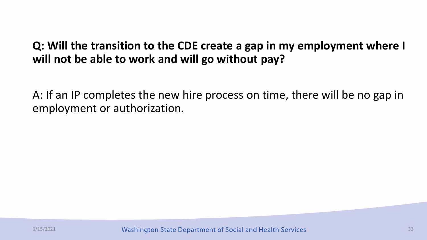### **Q: Will the transition to the CDE create a gap in my employment where I will not be able to work and will go without pay?**

A: If an IP completes the new hire process on time, there will be no gap in employment or authorization.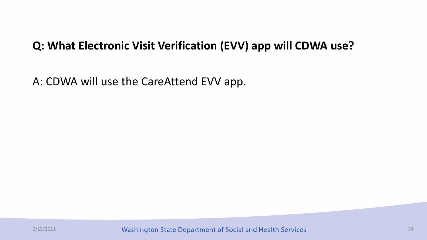### **Q: What Electronic Visit Verification (EVV) app will CDWA use?**

A: CDWA will use the CareAttend EVV app.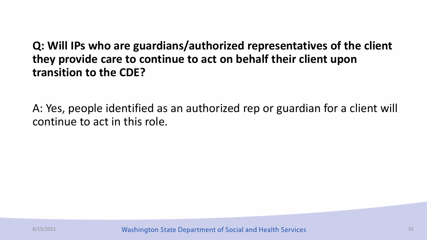### **Q: Will IPs who are guardians/authorized representatives of the client they provide care to continue to act on behalf their client upon transition to the CDE?**

A: Yes, people identified as an authorized rep or guardian for a client will continue to act in this role.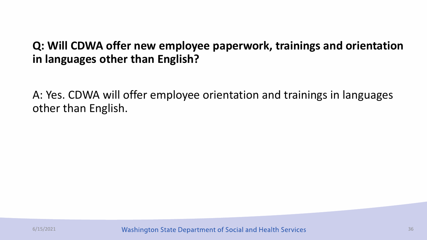### **Q: Will CDWA offer new employee paperwork, trainings and orientation in languages other than English?**

A: Yes. CDWA will offer employee orientation and trainings in languages other than English.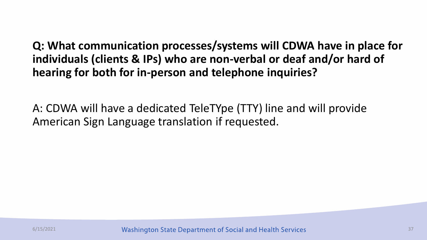**Q: What communication processes/systems will CDWA have in place for individuals (clients & IPs) who are non-verbal or deaf and/or hard of hearing for both for in-person and telephone inquiries?**

A: CDWA will have a dedicated TeleTYpe (TTY) line and will provide American Sign Language translation if requested.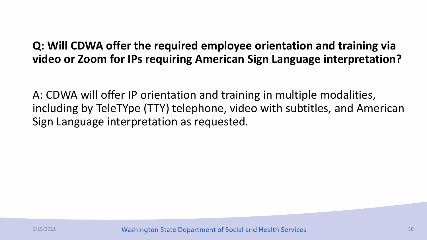### **Q: Will CDWA offer the required employee orientation and training via video or Zoom for IPs requiring American Sign Language interpretation?**

A: CDWA will offer IP orientation and training in multiple modalities, including by TeleTYpe (TTY) telephone, video with subtitles, and American Sign Language interpretation as requested.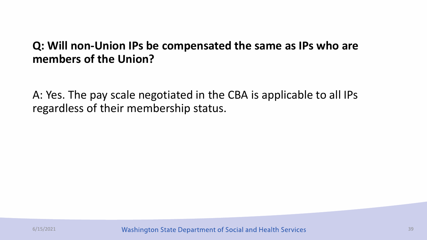### **Q: Will non-Union IPs be compensated the same as IPs who are members of the Union?**

A: Yes. The pay scale negotiated in the CBA is applicable to all IPs regardless of their membership status.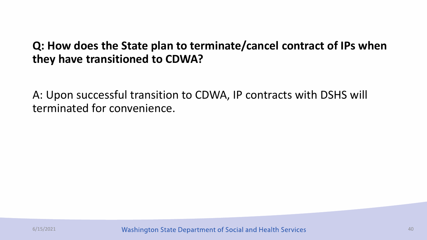### **Q: How does the State plan to terminate/cancel contract of IPs when they have transitioned to CDWA?**

A: Upon successful transition to CDWA, IP contracts with DSHS will terminated for convenience.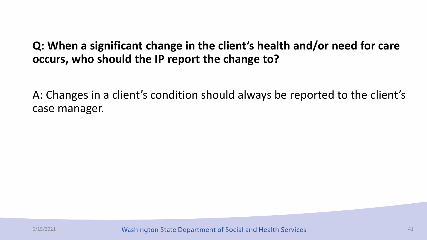### **Q: When a significant change in the client's health and/or need for care occurs, who should the IP report the change to?**

A: Changes in a client's condition should always be reported to the client's case manager.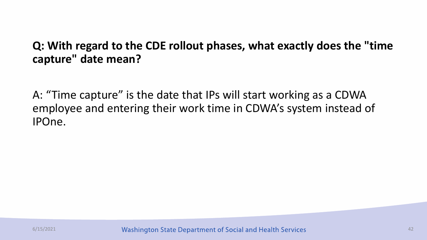### **Q: With regard to the CDE rollout phases, what exactly does the "time capture" date mean?**

A: "Time capture" is the date that IPs will start working as a CDWA employee and entering their work time in CDWA's system instead of IPOne.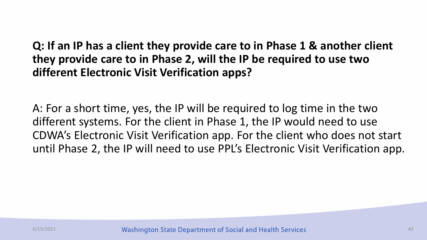**Q: If an IP has a client they provide care to in Phase 1 & another client they provide care to in Phase 2, will the IP be required to use two different Electronic Visit Verification apps?** 

A: For a short time, yes, the IP will be required to log time in the two different systems. For the client in Phase 1, the IP would need to use CDWA's Electronic Visit Verification app. For the client who does not start until Phase 2, the IP will need to use PPL's Electronic Visit Verification app.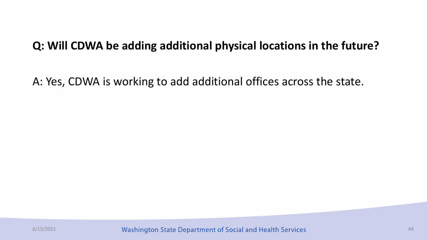### **Q: Will CDWA be adding additional physical locations in the future?**

A: Yes, CDWA is working to add additional offices across the state.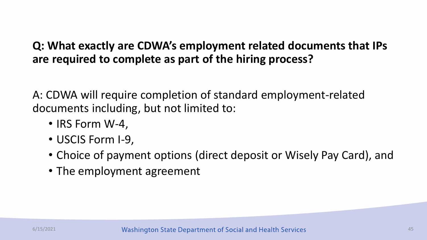### **Q: What exactly are CDWA's employment related documents that IPs are required to complete as part of the hiring process?**

A: CDWA will require completion of standard employment-related documents including, but not limited to:

- IRS Form W-4,
- USCIS Form I-9,
- Choice of payment options (direct deposit or Wisely Pay Card), and
- The employment agreement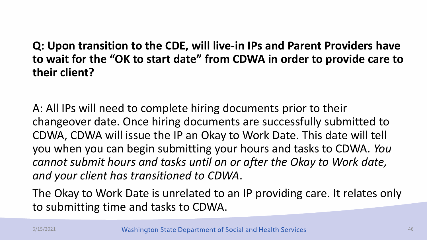### **Q: Upon transition to the CDE, will live-in IPs and Parent Providers have to wait for the "OK to start date" from CDWA in order to provide care to their client?**

A: All IPs will need to complete hiring documents prior to their changeover date. Once hiring documents are successfully submitted to CDWA, CDWA will issue the IP an Okay to Work Date. This date will tell you when you can begin submitting your hours and tasks to CDWA. *You cannot submit hours and tasks until on or after the Okay to Work date, and your client has transitioned to CDWA*.

The Okay to Work Date is unrelated to an IP providing care. It relates only to submitting time and tasks to CDWA.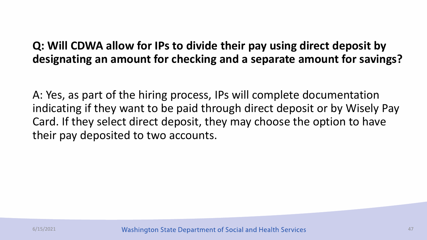### **Q: Will CDWA allow for IPs to divide their pay using direct deposit by designating an amount for checking and a separate amount for savings?**

A: Yes, as part of the hiring process, IPs will complete documentation indicating if they want to be paid through direct deposit or by Wisely Pay Card. If they select direct deposit, they may choose the option to have their pay deposited to two accounts.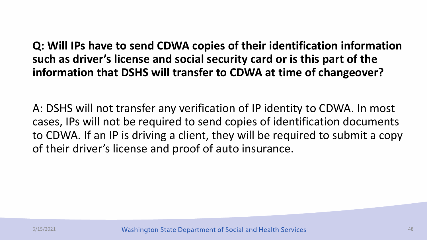**Q: Will IPs have to send CDWA copies of their identification information such as driver's license and social security card or is this part of the information that DSHS will transfer to CDWA at time of changeover?** 

A: DSHS will not transfer any verification of IP identity to CDWA. In most cases, IPs will not be required to send copies of identification documents to CDWA. If an IP is driving a client, they will be required to submit a copy of their driver's license and proof of auto insurance.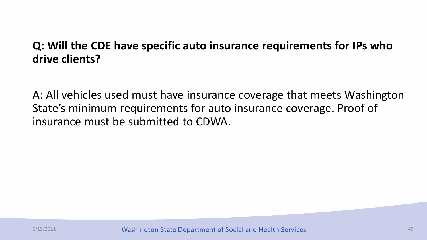### **Q: Will the CDE have specific auto insurance requirements for IPs who drive clients?**

A: All vehicles used must have insurance coverage that meets Washington State's minimum requirements for auto insurance coverage. Proof of insurance must be submitted to CDWA.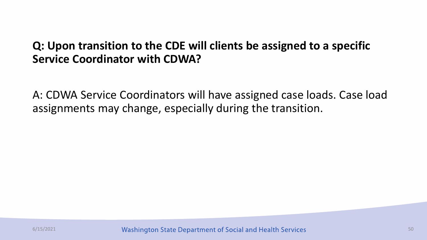### **Q: Upon transition to the CDE will clients be assigned to a specific Service Coordinator with CDWA?**

A: CDWA Service Coordinators will have assigned case loads. Case load assignments may change, especially during the transition.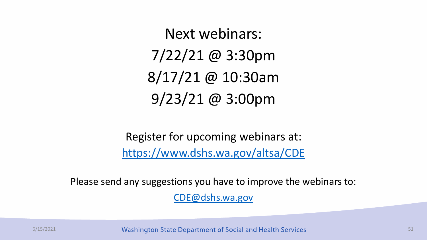Next webinars: 7/22/21 @ 3:30pm 8/17/21 @ 10:30am 9/23/21 @ 3:00pm

Register for upcoming webinars at: <https://www.dshs.wa.gov/altsa/CDE>

Please send any suggestions you have to improve the webinars to:

[CDE@dshs.wa.gov](mailto:CDE@dshs.wa.gov)